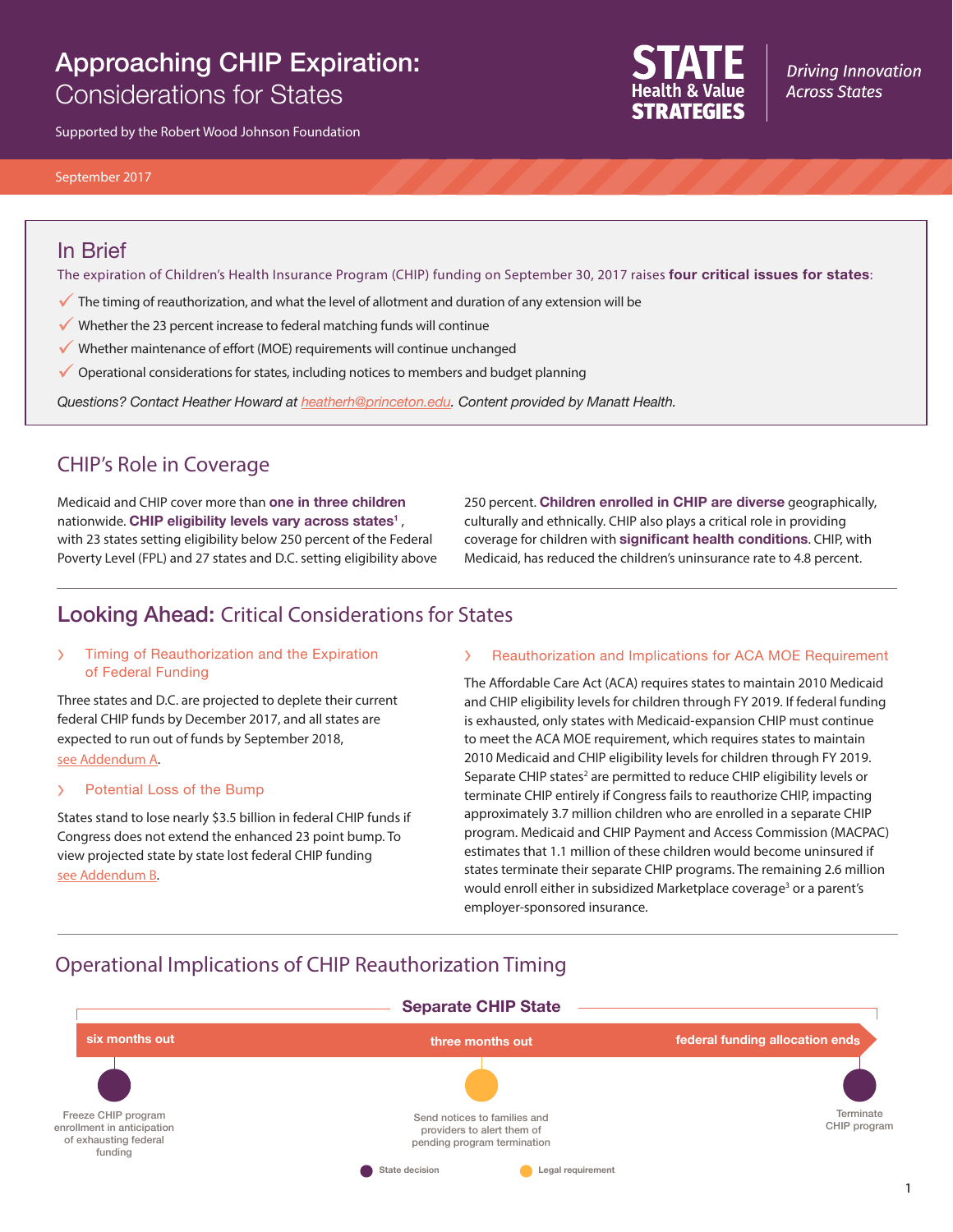# Approaching CHIP Expiration: Considerations for States

Supported by the Robert Wood Johnson Foundation



**Driving Innovation Across States** 

#### September 2017

### In Brief

The expiration of Children's Health Insurance Program (CHIP) funding on September 30, 2017 raises **four critical issues for states**:

- $\checkmark$  The timing of reauthorization, and what the level of allotment and duration of any extension will be
- $\checkmark$  Whether the 23 percent increase to federal matching funds will continue
- $\checkmark$  Whether maintenance of effort (MOE) requirements will continue unchanged
- $\checkmark$  Operational considerations for states, including notices to members and budget planning

*Questions? Contact Heather Howard at [heatherh@princeton.edu.](mailto:heatherh%40princeton.edu?subject=) Content provided by Manatt Health.*

### CHIP's Role in Coverage

Medicaid and CHIP cover more than **one in three children** nationwide. **CHIP eligibility levels vary across states1** , with 23 states setting eligibility below 250 percent of the Federal Poverty Level (FPL) and 27 states and D.C. setting eligibility above 250 percent. **Children enrolled in CHIP are diverse** geographically, culturally and ethnically. CHIP also plays a critical role in providing coverage for children with **significant health conditions**. CHIP, with Medicaid, has reduced the children's uninsurance rate to 4.8 percent.

# Looking Ahead: Critical Considerations for States

#### › Timing of Reauthorization and the Expiration of Federal Funding

Three states and D.C. are projected to deplete their current federal CHIP funds by December 2017, and all states are expected to run out of funds by September 2018, [see Addendum A](http://www.statenetwork.org/wp-content/uploads/2017/09/SHVS_Timing-of-Reauthorization-and-the-Expiration-of-Federal-Funding.pdf).

#### › Potential Loss of the Bump

States stand to lose nearly \$3.5 billion in federal CHIP funds if Congress does not extend the enhanced 23 point bump. To view projected state by state lost federal CHIP funding [see Addendum B.](http://www.statenetwork.org/wp-content/uploads/2017/09/SHVS_Potential-Loss-of-the-Bump.pdf)

#### Reauthorization and Implications for ACA MOE Requirement

The Affordable Care Act (ACA) requires states to maintain 2010 Medicaid and CHIP eligibility levels for children through FY 2019. If federal funding is exhausted, only states with Medicaid-expansion CHIP must continue to meet the ACA MOE requirement, which requires states to maintain 2010 Medicaid and CHIP eligibility levels for children through FY 2019. Separate CHIP states<sup>2</sup> are permitted to reduce CHIP eligibility levels or terminate CHIP entirely if Congress fails to reauthorize CHIP, impacting approximately 3.7 million children who are enrolled in a separate CHIP program. Medicaid and CHIP Payment and Access Commission (MACPAC) estimates that 1.1 million of these children would become uninsured if states terminate their separate CHIP programs. The remaining 2.6 million would enroll either in subsidized Marketplace coverage<sup>3</sup> or a parent's employer-sponsored insurance.

## Operational Implications of CHIP Reauthorization Timing